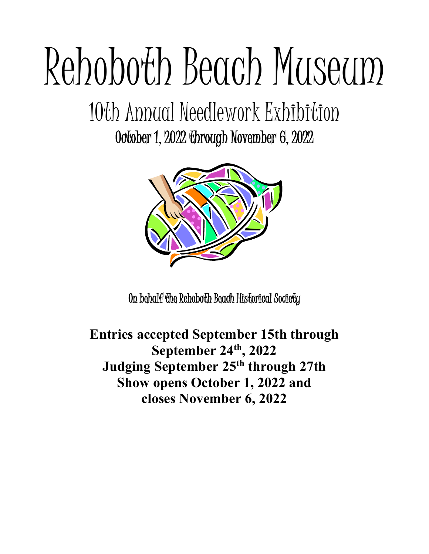# Rehoboth Beach Museum

# 10th Annual Needlework Exhibition

October 1, 2022 through November 6, 2022



On behalf the Rehoboth Beach Historical Society

**Entries accepted September 15th through September 24th, 2022 Judging September 25th through 27th Show opens October 1, 2022 and closes November 6, 2022**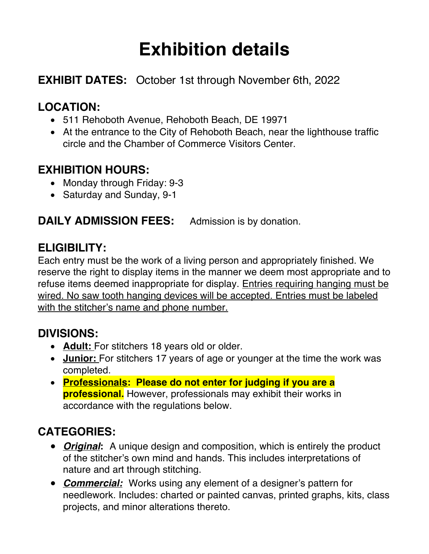## **Exhibition details**

#### **EXHIBIT DATES:** October 1st through November 6th, 2022

#### **LOCATION:**

- 511 Rehoboth Avenue, Rehoboth Beach, DE 19971
- At the entrance to the City of Rehoboth Beach, near the lighthouse traffic circle and the Chamber of Commerce Visitors Center.

#### **EXHIBITION HOURS:**

- Monday through Friday: 9-3
- Saturday and Sunday, 9-1

**DAILY ADMISSION FEES:** Admission is by donation.

#### **ELIGIBILITY:**

Each entry must be the work of a living person and appropriately finished. We reserve the right to display items in the manner we deem most appropriate and to refuse items deemed inappropriate for display. Entries requiring hanging must be wired. No saw tooth hanging devices will be accepted. Entries must be labeled with the stitcher's name and phone number.

#### **DIVISIONS:**

- **Adult:** For stitchers 18 years old or older.
- **Junior:** For stitchers 17 years of age or younger at the time the work was completed.
- **Professionals: Please do not enter for judging if you are a professional.** However, professionals may exhibit their works in accordance with the regulations below.

#### **CATEGORIES:**

- *Original***:** A unique design and composition, which is entirely the product of the stitcher's own mind and hands. This includes interpretations of nature and art through stitching.
- *Commercial:*Works using any element of a designer's pattern for needlework. Includes: charted or painted canvas, printed graphs, kits, class projects, and minor alterations thereto.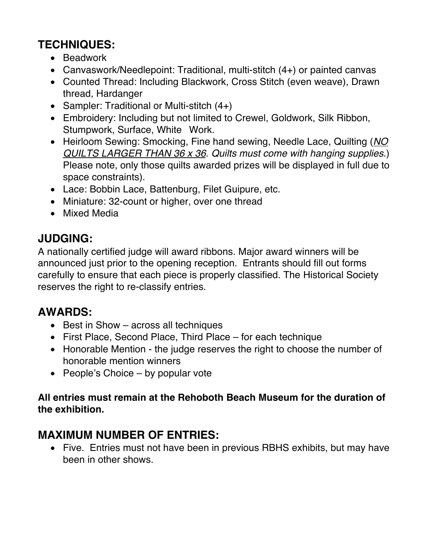#### **TECHNIQUES:**

- Beadwork
- Canvaswork/Needlepoint: Traditional, multi-stitch (4+) or painted canvas
- Counted Thread: Including Blackwork, Cross Stitch (even weave), Drawn thread, Hardanger
- Sampler: Traditional or Multi-stitch  $(4+)$
- Embroidery: Including but not limited to Crewel, Goldwork, Silk Ribbon, Stumpwork, Surface, White Work.
- Heirloom Sewing: Smocking, Fine hand sewing, Needle Lace, Quilting (*NO QUILTS LARGER THAN 36 x 36*. *Quilts must come with hanging supplies.*) Please note, only those quilts awarded prizes will be displayed in full due to space constraints).
- Lace: Bobbin Lace, Battenburg, Filet Guipure, etc.
- Miniature: 32-count or higher, over one thread
- Mixed Media

#### **JUDGING:**

A nationally certified judge will award ribbons. Major award winners will be announced just prior to the opening reception. Entrants should fill out forms carefully to ensure that each piece is properly classified. The Historical Society reserves the right to re-classify entries.

#### **AWARDS:**

- Best in Show across all techniques
- First Place, Second Place, Third Place for each technique
- Honorable Mention the judge reserves the right to choose the number of honorable mention winners
- People's Choice  $-$  by popular vote

#### **All entries must remain at the Rehoboth Beach Museum for the duration of the exhibition.**

#### **MAXIMUM NUMBER OF ENTRIES:**

• Five. Entries must not have been in previous RBHS exhibits, but may have been in other shows.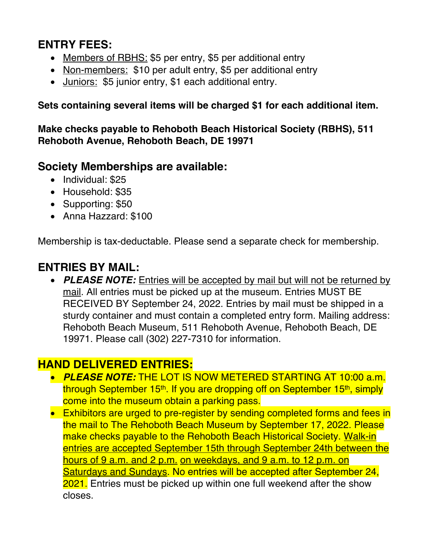#### **ENTRY FEES:**

- Members of RBHS: \$5 per entry, \$5 per additional entry
- Non-members: \$10 per adult entry, \$5 per additional entry
- Juniors: \$5 junior entry, \$1 each additional entry.

**Sets containing several items will be charged \$1 for each additional item.** 

**Make checks payable to Rehoboth Beach Historical Society (RBHS), 511 Rehoboth Avenue, Rehoboth Beach, DE 19971**

#### **Society Memberships are available:**

- Individual: \$25
- Household: \$35
- Supporting: \$50
- Anna Hazzard: \$100

Membership is tax-deductable. Please send a separate check for membership.

#### **ENTRIES BY MAIL:**

• *PLEASE NOTE:* Entries will be accepted by mail but will not be returned by mail. All entries must be picked up at the museum. Entries MUST BE RECEIVED BY September 24, 2022. Entries by mail must be shipped in a sturdy container and must contain a completed entry form. Mailing address: Rehoboth Beach Museum, 511 Rehoboth Avenue, Rehoboth Beach, DE 19971. Please call (302) 227-7310 for information.

#### **HAND DELIVERED ENTRIES:**

- *PLEASE NOTE:* THE LOT IS NOW METERED STARTING AT 10:00 a.m. through September 15<sup>th</sup>. If you are dropping off on September 15<sup>th</sup>, simply come into the museum obtain a parking pass.
- Exhibitors are urged to pre-register by sending completed forms and fees in the mail to The Rehoboth Beach Museum by September 17, 2022. Please make checks payable to the Rehoboth Beach Historical Society. Walk-in entries are accepted September 15th through September 24th between the hours of 9 a.m. and 2 p.m. on weekdays, and 9 a.m. to 12 p.m. on Saturdays and Sundays. No entries will be accepted after September 24, 2021. Entries must be picked up within one full weekend after the show closes.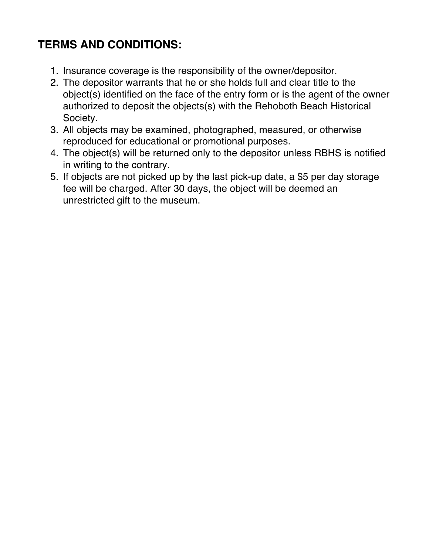#### **TERMS AND CONDITIONS:**

- 1. Insurance coverage is the responsibility of the owner/depositor.
- 2. The depositor warrants that he or she holds full and clear title to the object(s) identified on the face of the entry form or is the agent of the owner authorized to deposit the objects(s) with the Rehoboth Beach Historical Society.
- 3. All objects may be examined, photographed, measured, or otherwise reproduced for educational or promotional purposes.
- 4. The object(s) will be returned only to the depositor unless RBHS is notified in writing to the contrary.
- 5. If objects are not picked up by the last pick-up date, a \$5 per day storage fee will be charged. After 30 days, the object will be deemed an unrestricted gift to the museum.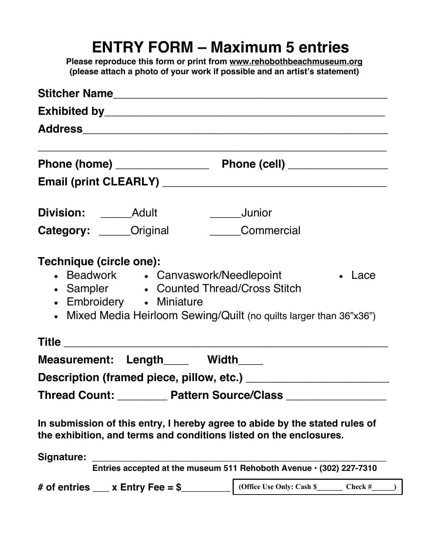### **ENTRY FORM – Maximum 5 entries**

**Please reproduce this form or print from www.rehobothbeachmuseum.org (please attach a photo of your work if possible and an artist's statement)**

| Exhibited by Exhibited by Exhibited by Annual Section 2014 19:00:00 10:00:00 10:00:00:00:00:00:00:00:00:00:00 |                                                                                                                      |  |
|---------------------------------------------------------------------------------------------------------------|----------------------------------------------------------------------------------------------------------------------|--|
|                                                                                                               |                                                                                                                      |  |
|                                                                                                               |                                                                                                                      |  |
|                                                                                                               |                                                                                                                      |  |
|                                                                                                               | ___________________Junior                                                                                            |  |
| Category: _____Original ________Commercial                                                                    |                                                                                                                      |  |
| • Sampler • Counted Thread/Cross Stitch<br>• Embroidery • Miniature                                           | • Beadwork • Canvaswork/Needlepoint<br>• Lace<br>• Mixed Media Heirloom Sewing/Quilt (no quilts larger than 36"x36") |  |
| Measurement: Length____ Width____                                                                             |                                                                                                                      |  |
|                                                                                                               |                                                                                                                      |  |
| Thread Count: ________ Pattern Source/Class                                                                   |                                                                                                                      |  |
| the exhibition, and terms and conditions listed on the enclosures.                                            | In submission of this entry, I hereby agree to abide by the stated rules of                                          |  |
| Signature:                                                                                                    |                                                                                                                      |  |
|                                                                                                               | Entries accepted at the museum 511 Rehoboth Avenue · (302) 227-7310                                                  |  |
| # of entries ___ x Entry Fee = $\sim$                                                                         | (Office Use Only: Cash $\frac{1}{2}$ Check #                                                                         |  |